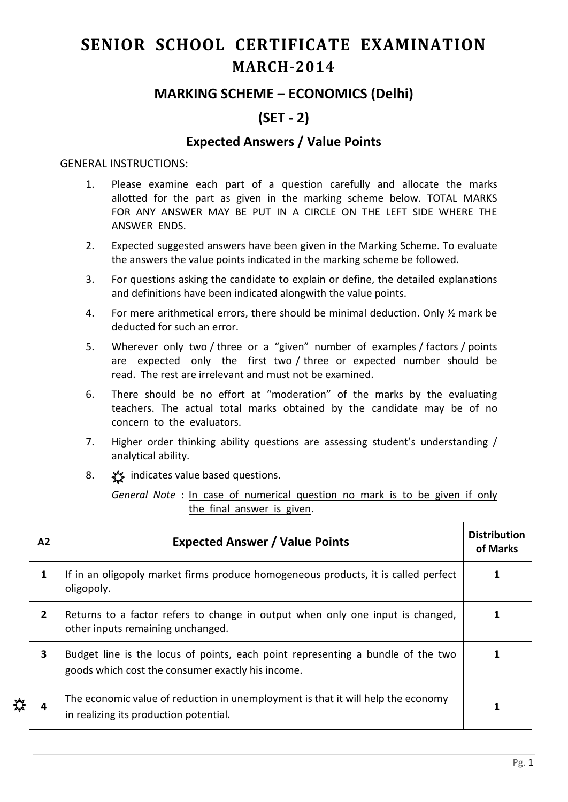# **SENIOR SCHOOL CERTIFICATE EXAMINATION MARCH-2014**

## **MARKING SCHEME – ECONOMICS (Delhi)**

# **(SET - 2)**

### **Expected Answers / Value Points**

#### GENERAL INSTRUCTIONS:

- 1. Please examine each part of a question carefully and allocate the marks allotted for the part as given in the marking scheme below. TOTAL MARKS FOR ANY ANSWER MAY BE PUT IN A CIRCLE ON THE LEFT SIDE WHERE THE ANSWER ENDS.
- 2. Expected suggested answers have been given in the Marking Scheme. To evaluate the answers the value points indicated in the marking scheme be followed.
- 3. For questions asking the candidate to explain or define, the detailed explanations and definitions have been indicated alongwith the value points.
- 4. For mere arithmetical errors, there should be minimal deduction. Only ½ mark be deducted for such an error.
- 5. Wherever only two / three or a "given" number of examples / factors / points are expected only the first two / three or expected number should be read. The rest are irrelevant and must not be examined.
- 6. There should be no effort at "moderation" of the marks by the evaluating teachers. The actual total marks obtained by the candidate may be of no concern to the evaluators.
- 7. Higher order thinking ability questions are assessing student's understanding / analytical ability.
- 8.  $\frac{1}{2}$  indicates value based questions.

*General Note* : In case of numerical question no mark is to be given if only the final answer is given.

| A <sub>2</sub> | <b>Expected Answer / Value Points</b>                                                                                                | <b>Distribution</b><br>of Marks |
|----------------|--------------------------------------------------------------------------------------------------------------------------------------|---------------------------------|
| 1              | If in an oligopoly market firms produce homogeneous products, it is called perfect<br>oligopoly.                                     |                                 |
| $\overline{2}$ | Returns to a factor refers to change in output when only one input is changed,<br>other inputs remaining unchanged.                  |                                 |
| 3              | Budget line is the locus of points, each point representing a bundle of the two<br>goods which cost the consumer exactly his income. |                                 |
| 4              | The economic value of reduction in unemployment is that it will help the economy<br>in realizing its production potential.           |                                 |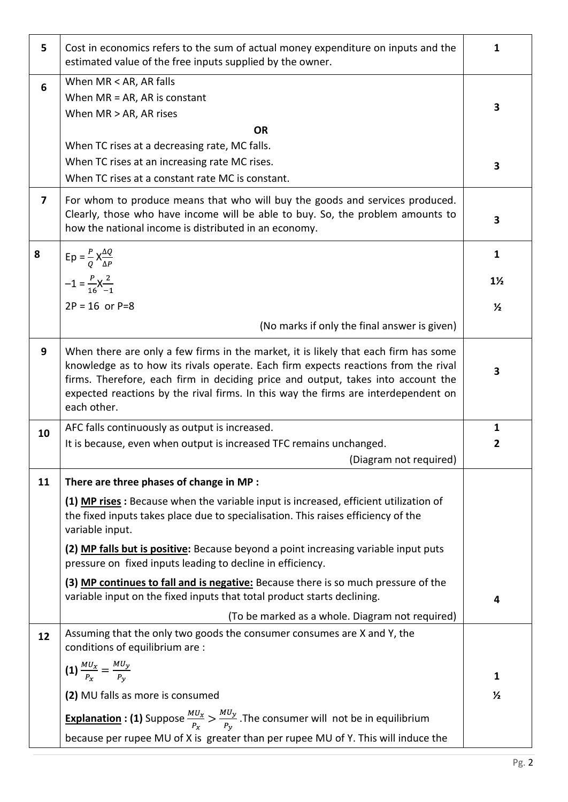| 5                       | Cost in economics refers to the sum of actual money expenditure on inputs and the<br>estimated value of the free inputs supplied by the owner.                                                                                                                                                                                                                     | $\mathbf{1}$   |
|-------------------------|--------------------------------------------------------------------------------------------------------------------------------------------------------------------------------------------------------------------------------------------------------------------------------------------------------------------------------------------------------------------|----------------|
| 6                       | When MR < AR, AR falls                                                                                                                                                                                                                                                                                                                                             |                |
|                         | When $MR = AR$ , AR is constant                                                                                                                                                                                                                                                                                                                                    |                |
|                         | When MR > AR, AR rises                                                                                                                                                                                                                                                                                                                                             | 3              |
|                         | <b>OR</b>                                                                                                                                                                                                                                                                                                                                                          |                |
|                         | When TC rises at a decreasing rate, MC falls.                                                                                                                                                                                                                                                                                                                      |                |
|                         | When TC rises at an increasing rate MC rises.                                                                                                                                                                                                                                                                                                                      | 3              |
|                         | When TC rises at a constant rate MC is constant.                                                                                                                                                                                                                                                                                                                   |                |
| $\overline{\mathbf{z}}$ | For whom to produce means that who will buy the goods and services produced.<br>Clearly, those who have income will be able to buy. So, the problem amounts to<br>how the national income is distributed in an economy.                                                                                                                                            | 3              |
| 8                       | $Ep = \frac{P}{Q} X \frac{\Delta Q}{\Delta P}$                                                                                                                                                                                                                                                                                                                     | $\mathbf{1}$   |
|                         | $-1 = \frac{P}{16}X_{-1}^{2}$                                                                                                                                                                                                                                                                                                                                      | $1\frac{1}{2}$ |
|                         | $2P = 16$ or $P = 8$                                                                                                                                                                                                                                                                                                                                               | $\frac{1}{2}$  |
|                         | (No marks if only the final answer is given)                                                                                                                                                                                                                                                                                                                       |                |
| 9                       | When there are only a few firms in the market, it is likely that each firm has some<br>knowledge as to how its rivals operate. Each firm expects reactions from the rival<br>firms. Therefore, each firm in deciding price and output, takes into account the<br>expected reactions by the rival firms. In this way the firms are interdependent on<br>each other. | 3              |
| 10                      | AFC falls continuously as output is increased.                                                                                                                                                                                                                                                                                                                     | $\mathbf{1}$   |
|                         | It is because, even when output is increased TFC remains unchanged.                                                                                                                                                                                                                                                                                                | $\mathbf{2}$   |
|                         | (Diagram not required)                                                                                                                                                                                                                                                                                                                                             |                |
| 11                      | There are three phases of change in MP :                                                                                                                                                                                                                                                                                                                           |                |
|                         | (1) MP rises: Because when the variable input is increased, efficient utilization of<br>the fixed inputs takes place due to specialisation. This raises efficiency of the<br>variable input.                                                                                                                                                                       |                |
|                         | (2) MP falls but is positive: Because beyond a point increasing variable input puts<br>pressure on fixed inputs leading to decline in efficiency.                                                                                                                                                                                                                  |                |
|                         | (3) MP continues to fall and is negative: Because there is so much pressure of the<br>variable input on the fixed inputs that total product starts declining.                                                                                                                                                                                                      | 4              |
|                         | (To be marked as a whole. Diagram not required)                                                                                                                                                                                                                                                                                                                    |                |
| 12                      | Assuming that the only two goods the consumer consumes are X and Y, the<br>conditions of equilibrium are :                                                                                                                                                                                                                                                         |                |
|                         | (1) $\frac{MU_x}{P_x} = \frac{MU_y}{P_y}$                                                                                                                                                                                                                                                                                                                          | 1              |
|                         |                                                                                                                                                                                                                                                                                                                                                                    |                |
|                         | (2) MU falls as more is consumed                                                                                                                                                                                                                                                                                                                                   | $\frac{1}{2}$  |
|                         | <b>Explanation : (1)</b> Suppose $\frac{MU_x}{P_x} > \frac{MU_y}{P_y}$ . The consumer will not be in equilibrium                                                                                                                                                                                                                                                   |                |
|                         | because per rupee MU of X is greater than per rupee MU of Y. This will induce the                                                                                                                                                                                                                                                                                  |                |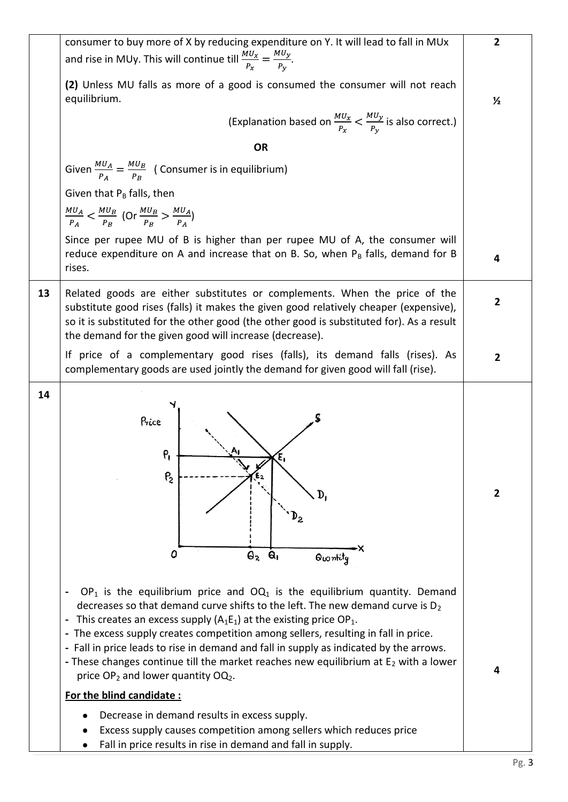|    | consumer to buy more of X by reducing expenditure on Y. It will lead to fall in MUx                                                                                                                                                                                                                                                                                                                                                                                                                                                                                                                                                                                              | $\overline{2}$    |
|----|----------------------------------------------------------------------------------------------------------------------------------------------------------------------------------------------------------------------------------------------------------------------------------------------------------------------------------------------------------------------------------------------------------------------------------------------------------------------------------------------------------------------------------------------------------------------------------------------------------------------------------------------------------------------------------|-------------------|
|    | and rise in MUy. This will continue till $\frac{MU_x}{P_x} = \frac{MU_y}{P_y}$ .                                                                                                                                                                                                                                                                                                                                                                                                                                                                                                                                                                                                 |                   |
|    | (2) Unless MU falls as more of a good is consumed the consumer will not reach<br>equilibrium.                                                                                                                                                                                                                                                                                                                                                                                                                                                                                                                                                                                    | $\frac{1}{2}$     |
|    | (Explanation based on $\frac{MU_x}{P_x} < \frac{MU_y}{P_y}$ is also correct.)                                                                                                                                                                                                                                                                                                                                                                                                                                                                                                                                                                                                    |                   |
|    | <b>OR</b>                                                                                                                                                                                                                                                                                                                                                                                                                                                                                                                                                                                                                                                                        |                   |
|    | Given $\frac{MU_A}{P_A} = \frac{MU_B}{P_B}$ (Consumer is in equilibrium)                                                                                                                                                                                                                                                                                                                                                                                                                                                                                                                                                                                                         |                   |
|    | Given that $P_B$ falls, then                                                                                                                                                                                                                                                                                                                                                                                                                                                                                                                                                                                                                                                     |                   |
|    | $\frac{MU_A}{P_A} < \frac{MU_B}{P_B}$ (Or $\frac{MU_B}{P_B} > \frac{MU_A}{P_A}$ )                                                                                                                                                                                                                                                                                                                                                                                                                                                                                                                                                                                                |                   |
|    | Since per rupee MU of B is higher than per rupee MU of A, the consumer will<br>reduce expenditure on A and increase that on B. So, when $P_B$ falls, demand for B<br>rises.                                                                                                                                                                                                                                                                                                                                                                                                                                                                                                      | 4                 |
| 13 | Related goods are either substitutes or complements. When the price of the<br>substitute good rises (falls) it makes the given good relatively cheaper (expensive),<br>so it is substituted for the other good (the other good is substituted for). As a result<br>the demand for the given good will increase (decrease).                                                                                                                                                                                                                                                                                                                                                       | $\overline{2}$    |
|    | If price of a complementary good rises (falls), its demand falls (rises). As<br>complementary goods are used jointly the demand for given good will fall (rise).                                                                                                                                                                                                                                                                                                                                                                                                                                                                                                                 | $\mathbf{2}$      |
| 14 | Price<br>ρ,<br>P <sub>2</sub><br>Ο<br>$\Theta_{2}$<br>$\mathbf{a}_1$<br>Quantity<br>$OP_1$ is the equilibrium price and $OQ_1$ is the equilibrium quantity. Demand<br>decreases so that demand curve shifts to the left. The new demand curve is $D_2$<br>This creates an excess supply $(A_1E_1)$ at the existing price OP <sub>1</sub> .<br>The excess supply creates competition among sellers, resulting in fall in price.<br>- Fall in price leads to rise in demand and fall in supply as indicated by the arrows.<br>- These changes continue till the market reaches new equilibrium at $E_2$ with a lower<br>price OP <sub>2</sub> and lower quantity OQ <sub>2</sub> . | $\mathbf{2}$<br>4 |
|    | For the blind candidate:<br>Decrease in demand results in excess supply.                                                                                                                                                                                                                                                                                                                                                                                                                                                                                                                                                                                                         |                   |
|    | Excess supply causes competition among sellers which reduces price<br>Fall in price results in rise in demand and fall in supply.                                                                                                                                                                                                                                                                                                                                                                                                                                                                                                                                                |                   |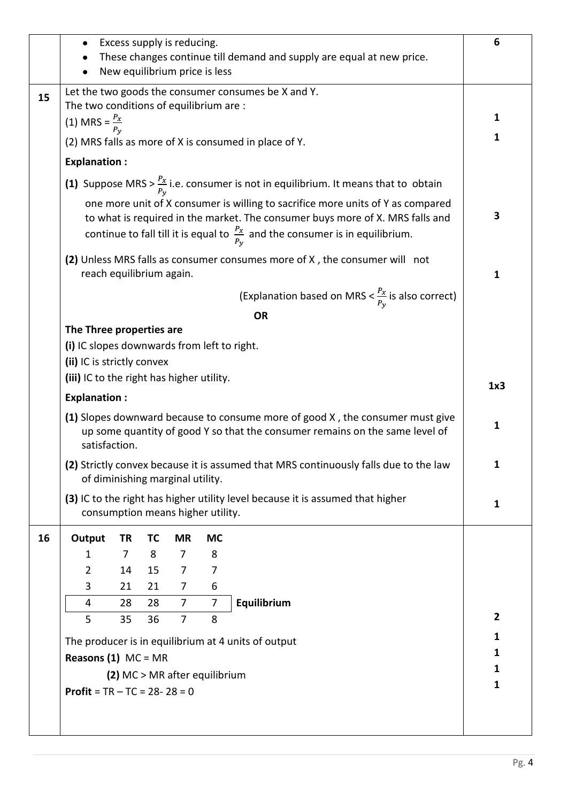|    | Excess supply is reducing.                                                                                                                                                                            |                                                                                                  |           |                                   |                |                                                                               | 6              |  |  |
|----|-------------------------------------------------------------------------------------------------------------------------------------------------------------------------------------------------------|--------------------------------------------------------------------------------------------------|-----------|-----------------------------------|----------------|-------------------------------------------------------------------------------|----------------|--|--|
|    | These changes continue till demand and supply are equal at new price.<br>New equilibrium price is less                                                                                                |                                                                                                  |           |                                   |                |                                                                               |                |  |  |
|    |                                                                                                                                                                                                       |                                                                                                  |           |                                   |                |                                                                               |                |  |  |
| 15 |                                                                                                                                                                                                       |                                                                                                  |           |                                   |                | Let the two goods the consumer consumes be X and Y.                           |                |  |  |
|    | The two conditions of equilibrium are :                                                                                                                                                               |                                                                                                  |           |                                   |                |                                                                               |                |  |  |
|    | (1) MRS = $\frac{P_x}{P_{y_x}}$<br>(2) MRS falls as more of X is consumed in place of Y.                                                                                                              |                                                                                                  |           |                                   |                |                                                                               |                |  |  |
|    |                                                                                                                                                                                                       |                                                                                                  |           |                                   |                |                                                                               |                |  |  |
|    | <b>Explanation:</b>                                                                                                                                                                                   |                                                                                                  |           |                                   |                |                                                                               |                |  |  |
|    |                                                                                                                                                                                                       | (1) Suppose MRS > $\frac{P_x}{P_y}$ i.e. consumer is not in equilibrium. It means that to obtain |           |                                   |                |                                                                               |                |  |  |
|    | one more unit of X consumer is willing to sacrifice more units of Y as compared                                                                                                                       |                                                                                                  |           |                                   |                |                                                                               |                |  |  |
|    |                                                                                                                                                                                                       |                                                                                                  |           |                                   |                | to what is required in the market. The consumer buys more of X. MRS falls and | 3              |  |  |
|    | continue to fall till it is equal to $\frac{P_x}{P_y}$ and the consumer is in equilibrium.                                                                                                            |                                                                                                  |           |                                   |                |                                                                               |                |  |  |
|    | reach equilibrium again.                                                                                                                                                                              |                                                                                                  |           |                                   |                | (2) Unless MRS falls as consumer consumes more of X, the consumer will not    | $\mathbf{1}$   |  |  |
|    |                                                                                                                                                                                                       |                                                                                                  |           |                                   |                | (Explanation based on MRS $<\frac{P_x}{P_v}$ is also correct)                 |                |  |  |
|    |                                                                                                                                                                                                       |                                                                                                  |           |                                   |                | <b>OR</b>                                                                     |                |  |  |
|    | The Three properties are                                                                                                                                                                              |                                                                                                  |           |                                   |                |                                                                               |                |  |  |
|    | (i) IC slopes downwards from left to right.                                                                                                                                                           |                                                                                                  |           |                                   |                |                                                                               |                |  |  |
|    | (ii) IC is strictly convex                                                                                                                                                                            |                                                                                                  |           |                                   |                |                                                                               |                |  |  |
|    | (iii) IC to the right has higher utility.                                                                                                                                                             |                                                                                                  |           |                                   |                |                                                                               |                |  |  |
|    | <b>Explanation:</b><br>(1) Slopes downward because to consume more of good X, the consumer must give<br>up some quantity of good Y so that the consumer remains on the same level of<br>satisfaction. |                                                                                                  |           |                                   |                |                                                                               |                |  |  |
|    |                                                                                                                                                                                                       |                                                                                                  |           |                                   |                |                                                                               |                |  |  |
|    | (2) Strictly convex because it is assumed that MRS continuously falls due to the law<br>of diminishing marginal utility.                                                                              |                                                                                                  |           |                                   |                |                                                                               |                |  |  |
|    | (3) IC to the right has higher utility level because it is assumed that higher                                                                                                                        |                                                                                                  |           |                                   |                |                                                                               |                |  |  |
|    |                                                                                                                                                                                                       |                                                                                                  |           | consumption means higher utility. |                |                                                                               | 1              |  |  |
| 16 | Output                                                                                                                                                                                                | <b>TR</b>                                                                                        | <b>TC</b> | <b>MR</b>                         | <b>MC</b>      |                                                                               |                |  |  |
|    | 1                                                                                                                                                                                                     | $\overline{7}$                                                                                   | 8         | $\overline{7}$                    | 8              |                                                                               |                |  |  |
|    | $\overline{2}$                                                                                                                                                                                        | 14                                                                                               | 15        | $\overline{7}$                    | 7              |                                                                               |                |  |  |
|    | 3                                                                                                                                                                                                     | 21                                                                                               | 21        | $\overline{7}$                    | 6              |                                                                               |                |  |  |
|    | 4                                                                                                                                                                                                     | 28                                                                                               | 28        | $\overline{7}$                    | $\overline{7}$ | Equilibrium                                                                   | $\overline{2}$ |  |  |
|    | 5                                                                                                                                                                                                     | 35                                                                                               | 36        | $\overline{7}$                    | 8              |                                                                               |                |  |  |
|    | The producer is in equilibrium at 4 units of output                                                                                                                                                   | 1                                                                                                |           |                                   |                |                                                                               |                |  |  |
|    | <b>Reasons (1)</b> $MC = MR$                                                                                                                                                                          |                                                                                                  |           |                                   |                |                                                                               | 1<br>1         |  |  |
|    |                                                                                                                                                                                                       |                                                                                                  |           | (2) MC > MR after equilibrium     |                |                                                                               | $\mathbf{1}$   |  |  |
|    | <b>Profit</b> = $TR - TC = 28 - 28 = 0$                                                                                                                                                               |                                                                                                  |           |                                   |                |                                                                               |                |  |  |
|    |                                                                                                                                                                                                       |                                                                                                  |           |                                   |                |                                                                               |                |  |  |
|    |                                                                                                                                                                                                       |                                                                                                  |           |                                   |                |                                                                               |                |  |  |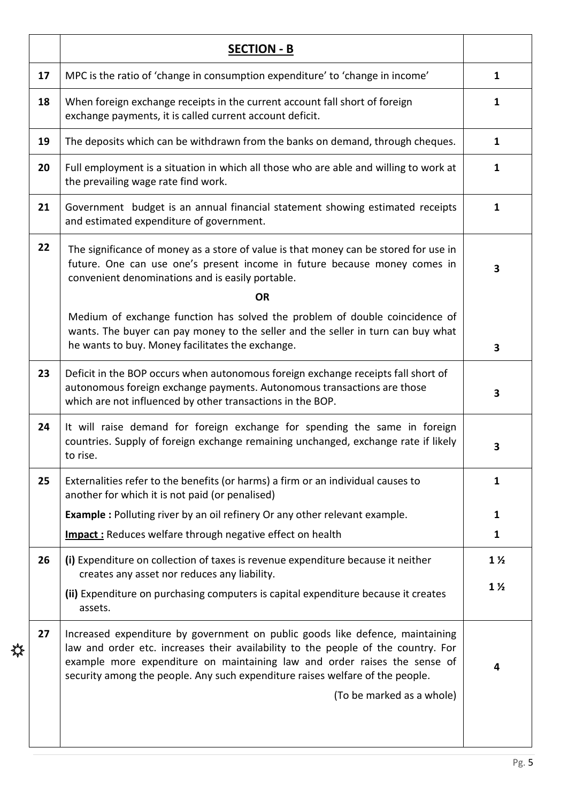|    | <b>SECTION - B</b>                                                                                                                                                                                                                                                                                                                                            |                         |
|----|---------------------------------------------------------------------------------------------------------------------------------------------------------------------------------------------------------------------------------------------------------------------------------------------------------------------------------------------------------------|-------------------------|
| 17 | MPC is the ratio of 'change in consumption expenditure' to 'change in income'                                                                                                                                                                                                                                                                                 | 1                       |
| 18 | When foreign exchange receipts in the current account fall short of foreign<br>exchange payments, it is called current account deficit.                                                                                                                                                                                                                       | 1                       |
| 19 | The deposits which can be withdrawn from the banks on demand, through cheques.                                                                                                                                                                                                                                                                                | $\mathbf{1}$            |
| 20 | Full employment is a situation in which all those who are able and willing to work at<br>the prevailing wage rate find work.                                                                                                                                                                                                                                  | $\mathbf{1}$            |
| 21 | Government budget is an annual financial statement showing estimated receipts<br>and estimated expenditure of government.                                                                                                                                                                                                                                     | $\mathbf{1}$            |
| 22 | The significance of money as a store of value is that money can be stored for use in<br>future. One can use one's present income in future because money comes in<br>convenient denominations and is easily portable.                                                                                                                                         | $\overline{\mathbf{3}}$ |
|    | <b>OR</b>                                                                                                                                                                                                                                                                                                                                                     |                         |
|    | Medium of exchange function has solved the problem of double coincidence of<br>wants. The buyer can pay money to the seller and the seller in turn can buy what<br>he wants to buy. Money facilitates the exchange.                                                                                                                                           | $\overline{\mathbf{3}}$ |
| 23 | Deficit in the BOP occurs when autonomous foreign exchange receipts fall short of<br>autonomous foreign exchange payments. Autonomous transactions are those<br>which are not influenced by other transactions in the BOP.                                                                                                                                    | 3                       |
| 24 | It will raise demand for foreign exchange for spending the same in foreign<br>countries. Supply of foreign exchange remaining unchanged, exchange rate if likely<br>to rise.                                                                                                                                                                                  | 3                       |
| 25 | Externalities refer to the benefits (or harms) a firm or an individual causes to<br>another for which it is not paid (or penalised)                                                                                                                                                                                                                           | 1                       |
|    | <b>Example :</b> Polluting river by an oil refinery Or any other relevant example.                                                                                                                                                                                                                                                                            | 1                       |
|    | <b>Impact:</b> Reduces welfare through negative effect on health                                                                                                                                                                                                                                                                                              | $\mathbf{1}$            |
| 26 | (i) Expenditure on collection of taxes is revenue expenditure because it neither<br>creates any asset nor reduces any liability.                                                                                                                                                                                                                              | $1\frac{1}{2}$          |
|    | (ii) Expenditure on purchasing computers is capital expenditure because it creates<br>assets.                                                                                                                                                                                                                                                                 | $1\frac{1}{2}$          |
| 27 | Increased expenditure by government on public goods like defence, maintaining<br>law and order etc. increases their availability to the people of the country. For<br>example more expenditure on maintaining law and order raises the sense of<br>security among the people. Any such expenditure raises welfare of the people.<br>(To be marked as a whole) | 4                       |
|    |                                                                                                                                                                                                                                                                                                                                                               |                         |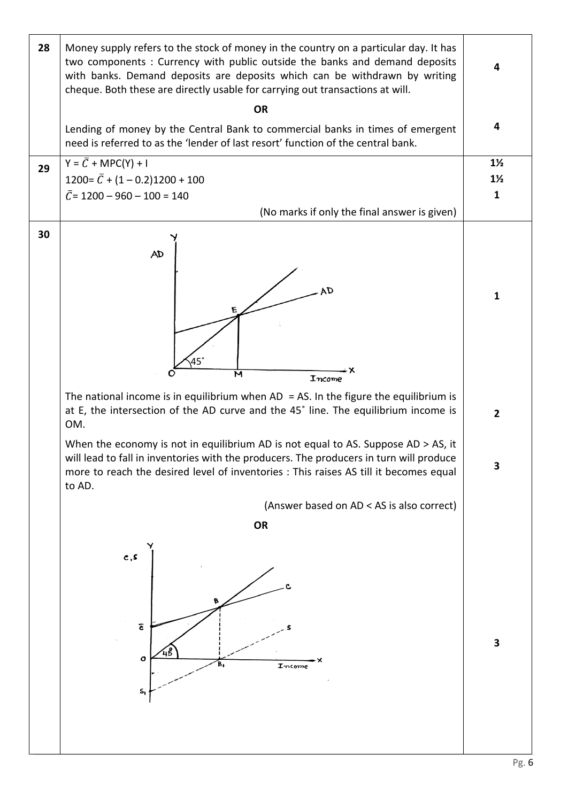